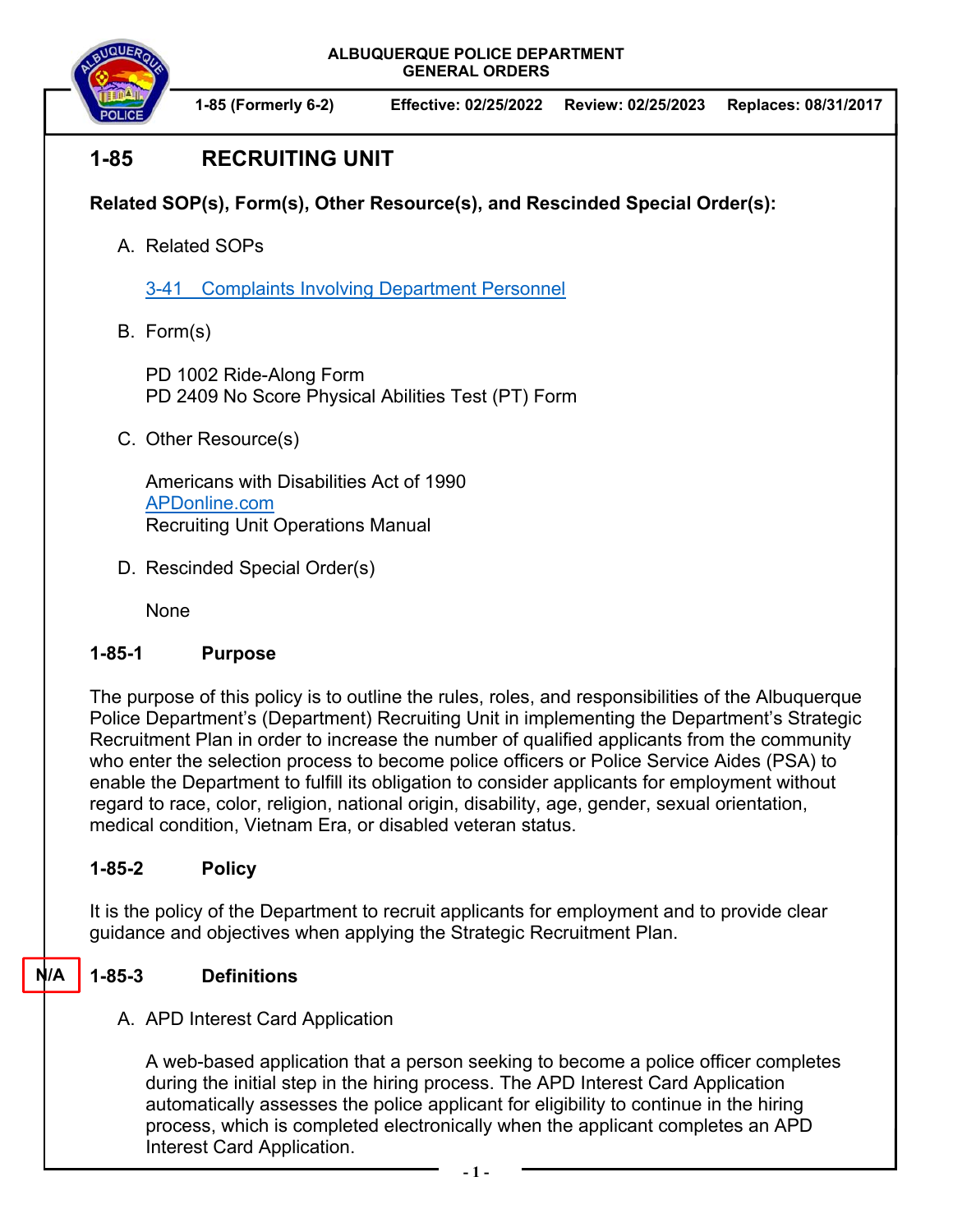

# **1-85 RECRUITING UNIT**

**Related SOP(s), Form(s), Other Resource(s), and Rescinded Special Order(s):** 

A. Related SOPs

3-41 Complaints Involving Department Personnel

B. Form(s)

PD 1002 Ride-Along Form PD 2409 No Score Physical Abilities Test (PT) Form

C. Other Resource(s)

Americans with Disabilities Act of 1990 APDonline.com Recruiting Unit Operations Manual

D. Rescinded Special Order(s)

None

## **1-85-1 Purpose**

The purpose of this policy is to outline the rules, roles, and responsibilities of the Albuquerque Police Department's (Department) Recruiting Unit in implementing the Department's Strategic Recruitment Plan in order to increase the number of qualified applicants from the community who enter the selection process to become police officers or Police Service Aides (PSA) to enable the Department to fulfill its obligation to consider applicants for employment without regard to race, color, religion, national origin, disability, age, gender, sexual orientation, medical condition, Vietnam Era, or disabled veteran status.

## **1-85-2 Policy**

It is the policy of the Department to recruit applicants for employment and to provide clear guidance and objectives when applying the Strategic Recruitment Plan.

## **1-85-3 Definitions**

**N/A** 

A. APD Interest Card Application

A web-based application that a person seeking to become a police officer completes during the initial step in the hiring process. The APD Interest Card Application automatically assesses the police applicant for eligibility to continue in the hiring process, which is completed electronically when the applicant completes an APD Interest Card Application.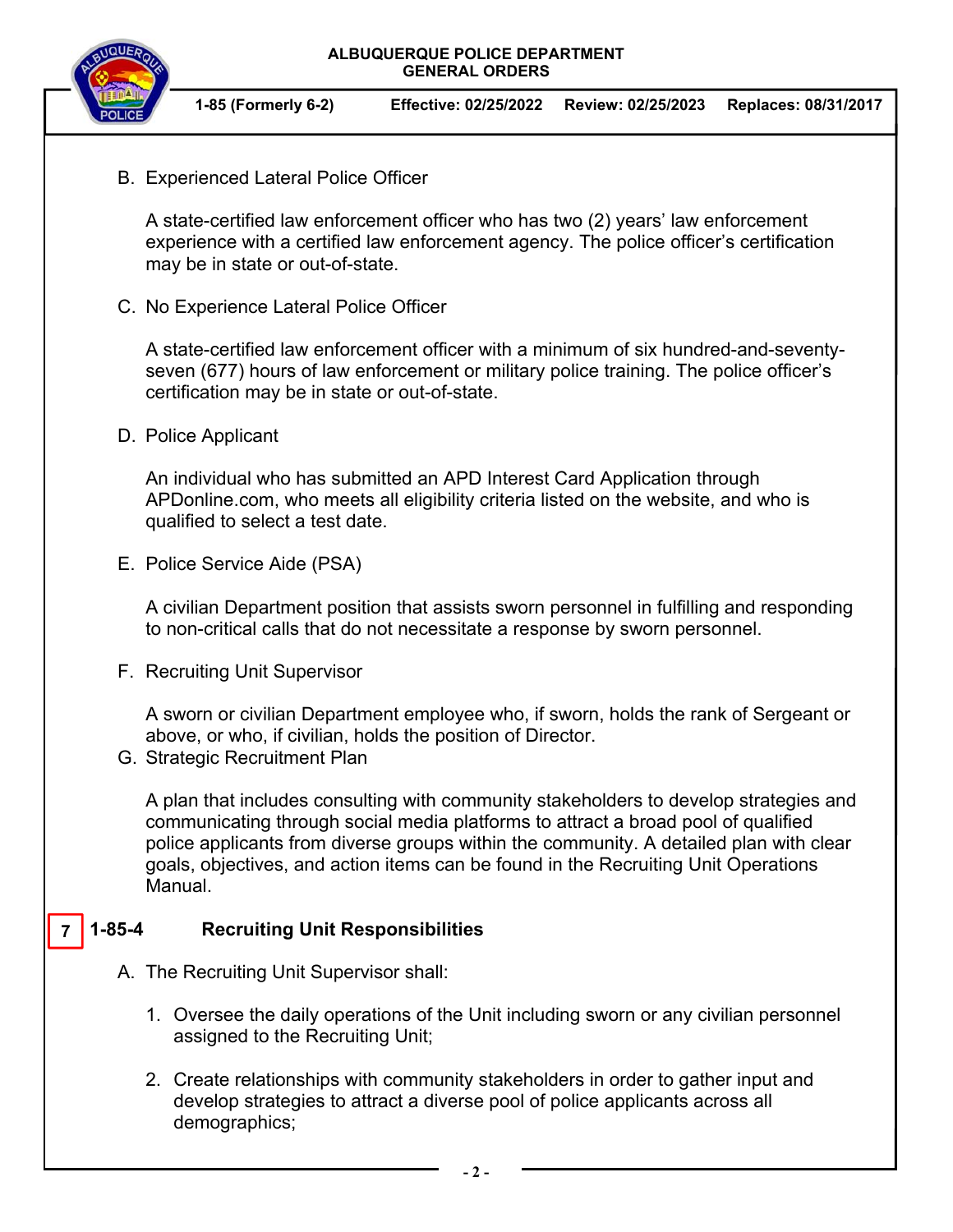

**1-85 (Formerly 6-2) Effective: 02/25/2022 Review: 02/25/2023 Replaces: 08/31/2017**

B. Experienced Lateral Police Officer

A state-certified law enforcement officer who has two (2) years' law enforcement experience with a certified law enforcement agency. The police officer's certification may be in state or out-of-state.

C. No Experience Lateral Police Officer

A state-certified law enforcement officer with a minimum of six hundred-and-seventyseven (677) hours of law enforcement or military police training. The police officer's certification may be in state or out-of-state.

D. Police Applicant

An individual who has submitted an APD Interest Card Application through APDonline.com, who meets all eligibility criteria listed on the website, and who is qualified to select a test date.

E. Police Service Aide (PSA)

A civilian Department position that assists sworn personnel in fulfilling and responding to non-critical calls that do not necessitate a response by sworn personnel.

F. Recruiting Unit Supervisor

A sworn or civilian Department employee who, if sworn, holds the rank of Sergeant or above, or who, if civilian, holds the position of Director.

G. Strategic Recruitment Plan

A plan that includes consulting with community stakeholders to develop strategies and communicating through social media platforms to attract a broad pool of qualified police applicants from diverse groups within the community. A detailed plan with clear goals, objectives, and action items can be found in the Recruiting Unit Operations Manual.

#### **1-85-4 Recruiting Unit Responsibilities 7**

- A. The Recruiting Unit Supervisor shall:
	- 1. Oversee the daily operations of the Unit including sworn or any civilian personnel assigned to the Recruiting Unit;
	- 2. Create relationships with community stakeholders in order to gather input and develop strategies to attract a diverse pool of police applicants across all demographics;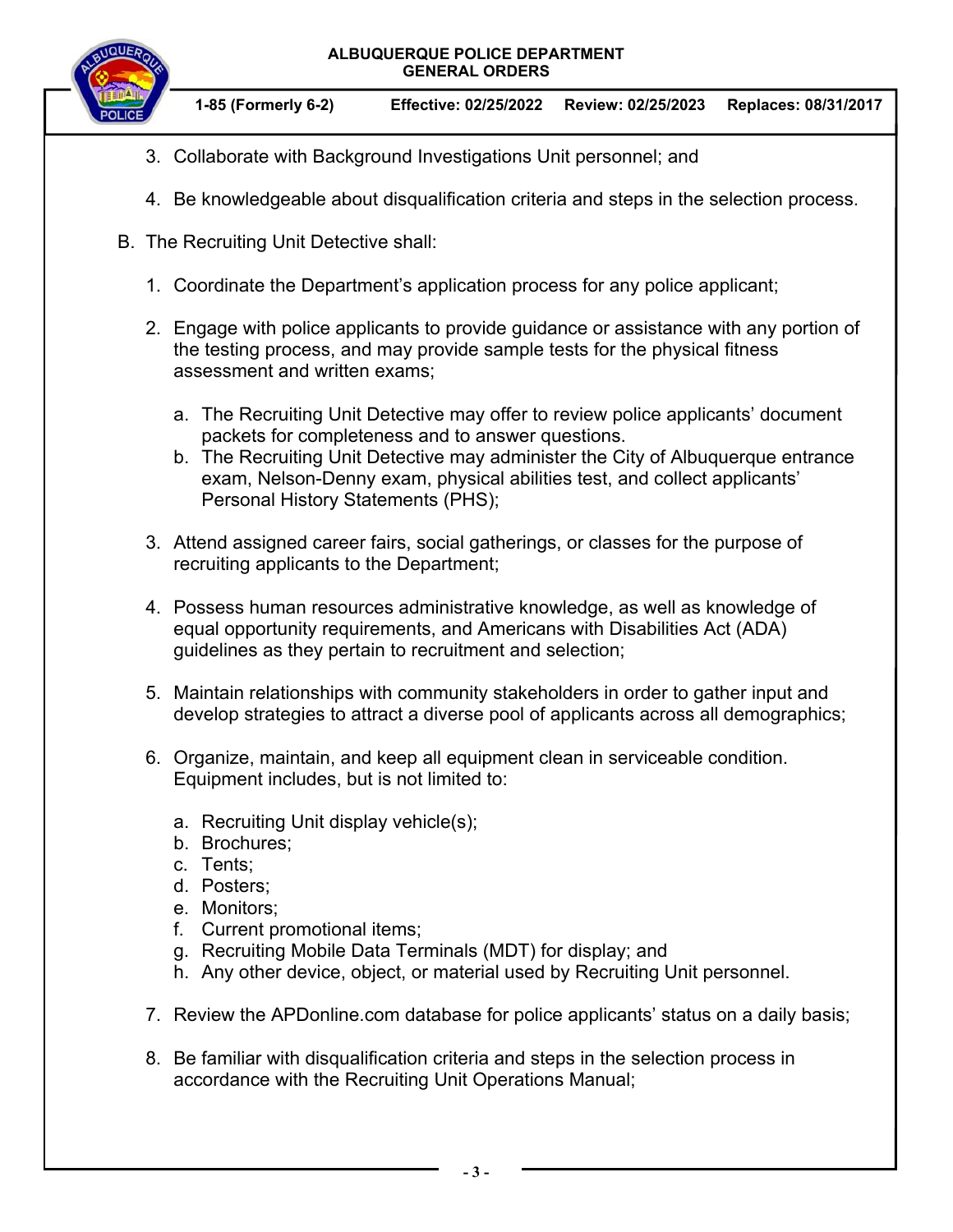

**1-85 (Formerly 6-2) Effective: 02/25/2022 Review: 02/25/2023 Replaces: 08/31/2017**

- 3. Collaborate with Background Investigations Unit personnel; and
- 4. Be knowledgeable about disqualification criteria and steps in the selection process.
- B. The Recruiting Unit Detective shall:
	- 1. Coordinate the Department's application process for any police applicant;
	- 2. Engage with police applicants to provide guidance or assistance with any portion of the testing process, and may provide sample tests for the physical fitness assessment and written exams;
		- a. The Recruiting Unit Detective may offer to review police applicants' document packets for completeness and to answer questions.
		- b. The Recruiting Unit Detective may administer the City of Albuquerque entrance exam, Nelson-Denny exam, physical abilities test, and collect applicants' Personal History Statements (PHS);
	- 3. Attend assigned career fairs, social gatherings, or classes for the purpose of recruiting applicants to the Department;
	- 4. Possess human resources administrative knowledge, as well as knowledge of equal opportunity requirements, and Americans with Disabilities Act (ADA) guidelines as they pertain to recruitment and selection;
	- 5. Maintain relationships with community stakeholders in order to gather input and develop strategies to attract a diverse pool of applicants across all demographics;
	- 6. Organize, maintain, and keep all equipment clean in serviceable condition. Equipment includes, but is not limited to:
		- a. Recruiting Unit display vehicle(s);
		- b. Brochures;
		- c. Tents;
		- d. Posters;
		- e. Monitors;
		- f. Current promotional items;
		- g. Recruiting Mobile Data Terminals (MDT) for display; and
		- h. Any other device, object, or material used by Recruiting Unit personnel.
	- 7. Review the APDonline.com database for police applicants' status on a daily basis;
	- 8. Be familiar with disqualification criteria and steps in the selection process in accordance with the Recruiting Unit Operations Manual;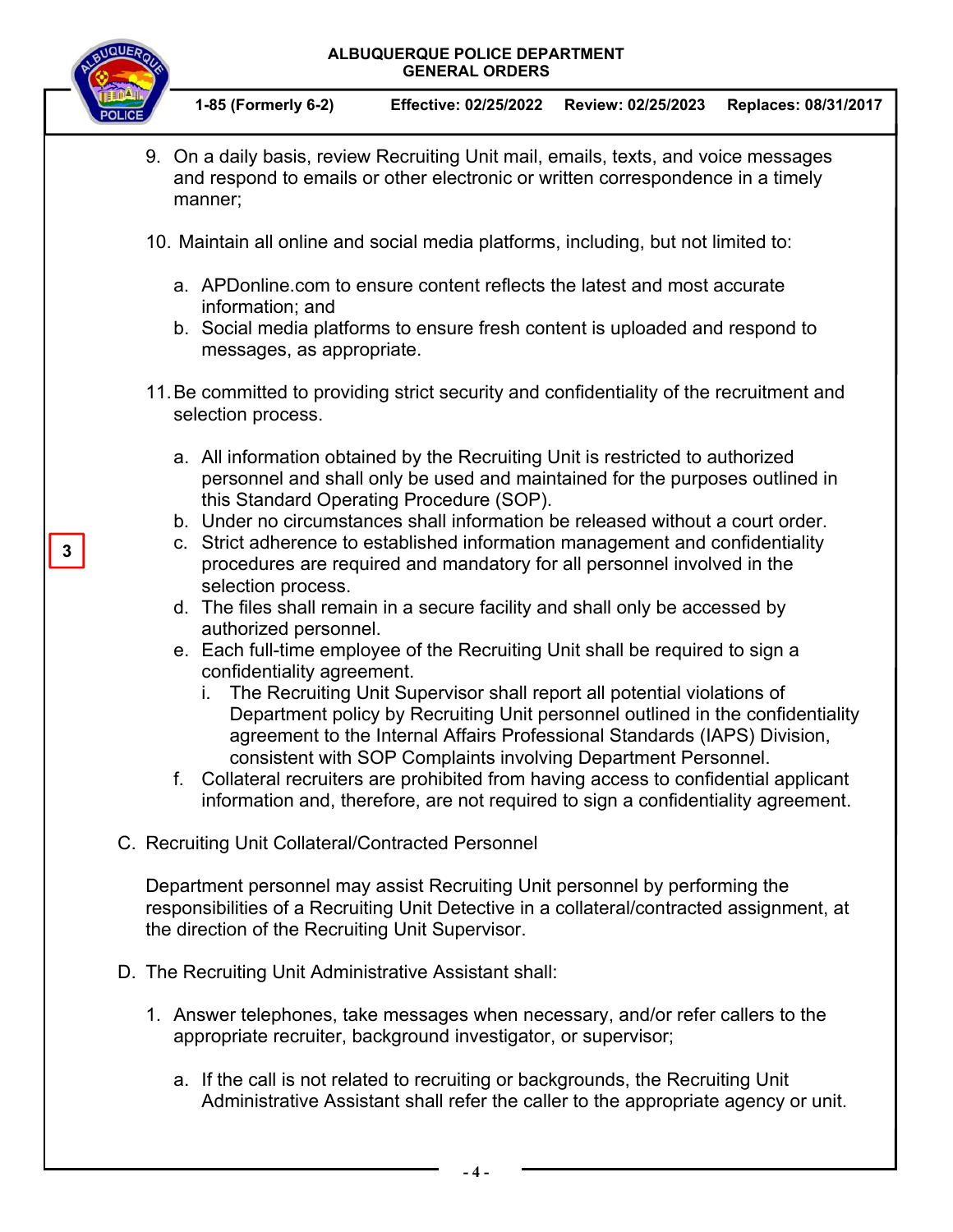

**1-85 (Formerly 6-2) Effective: 02/25/2022 Review: 02/25/2023 Replaces: 08/31/2017**

- 9. On a daily basis, review Recruiting Unit mail, emails, texts, and voice messages and respond to emails or other electronic or written correspondence in a timely manner;
- 10. Maintain all online and social media platforms, including, but not limited to:
	- a. APDonline.com to ensure content reflects the latest and most accurate information; and
	- b. Social media platforms to ensure fresh content is uploaded and respond to messages, as appropriate.
- 11. Be committed to providing strict security and confidentiality of the recruitment and selection process.
	- a. All information obtained by the Recruiting Unit is restricted to authorized personnel and shall only be used and maintained for the purposes outlined in this Standard Operating Procedure (SOP).
	- b. Under no circumstances shall information be released without a court order.
	- c. Strict adherence to established information management and confidentiality procedures are required and mandatory for all personnel involved in the selection process.
	- d. The files shall remain in a secure facility and shall only be accessed by authorized personnel.
	- e. Each full-time employee of the Recruiting Unit shall be required to sign a confidentiality agreement.
		- i. The Recruiting Unit Supervisor shall report all potential violations of Department policy by Recruiting Unit personnel outlined in the confidentiality agreement to the Internal Affairs Professional Standards (IAPS) Division, consistent with SOP Complaints involving Department Personnel.
	- f. Collateral recruiters are prohibited from having access to confidential applicant information and, therefore, are not required to sign a confidentiality agreement.
- C. Recruiting Unit Collateral/Contracted Personnel

Department personnel may assist Recruiting Unit personnel by performing the responsibilities of a Recruiting Unit Detective in a collateral/contracted assignment, at the direction of the Recruiting Unit Supervisor.

- D. The Recruiting Unit Administrative Assistant shall:
	- 1. Answer telephones, take messages when necessary, and/or refer callers to the appropriate recruiter, background investigator, or supervisor;
		- a. If the call is not related to recruiting or backgrounds, the Recruiting Unit Administrative Assistant shall refer the caller to the appropriate agency or unit.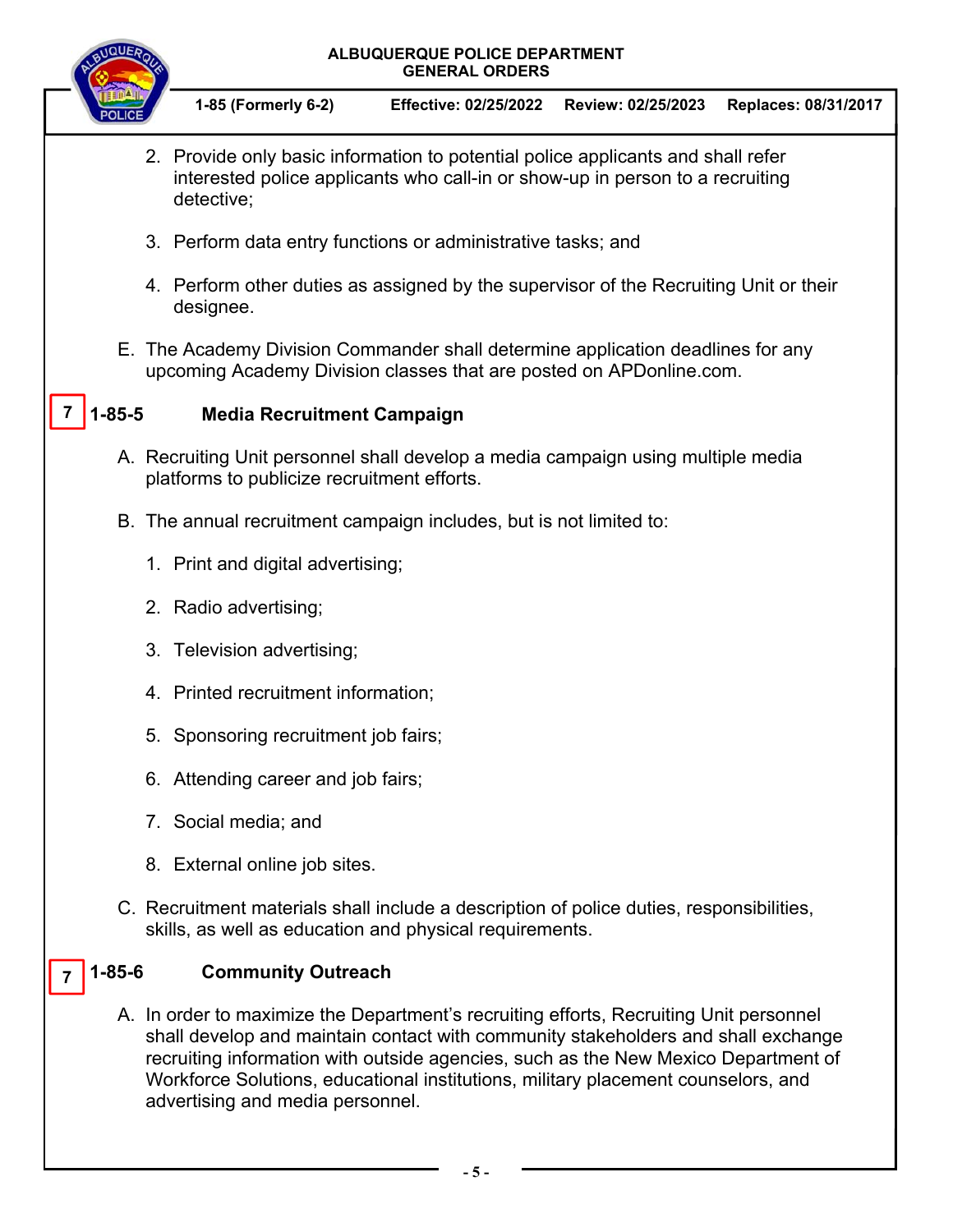

**1-85 (Formerly 6-2) Effective: 02/25/2022 Review: 02/25/2023 Replaces: 08/31/2017**

- 2. Provide only basic information to potential police applicants and shall refer interested police applicants who call-in or show-up in person to a recruiting detective;
- 3. Perform data entry functions or administrative tasks; and
- 4. Perform other duties as assigned by the supervisor of the Recruiting Unit or their designee.
- E. The Academy Division Commander shall determine application deadlines for any upcoming Academy Division classes that are posted on APDonline.com.

#### **1-85-5 Media Recruitment Campaign 7**

- A. Recruiting Unit personnel shall develop a media campaign using multiple media platforms to publicize recruitment efforts.
- B. The annual recruitment campaign includes, but is not limited to:
	- 1. Print and digital advertising;
	- 2. Radio advertising;
	- 3. Television advertising;
	- 4. Printed recruitment information;
	- 5. Sponsoring recruitment job fairs;
	- 6. Attending career and job fairs;
	- 7. Social media; and
	- 8. External online job sites.
- C. Recruitment materials shall include a description of police duties, responsibilities, skills, as well as education and physical requirements.

#### **1-85-6 Community Outreach 7**

A. In order to maximize the Department's recruiting efforts, Recruiting Unit personnel shall develop and maintain contact with community stakeholders and shall exchange recruiting information with outside agencies, such as the New Mexico Department of Workforce Solutions, educational institutions, military placement counselors, and advertising and media personnel.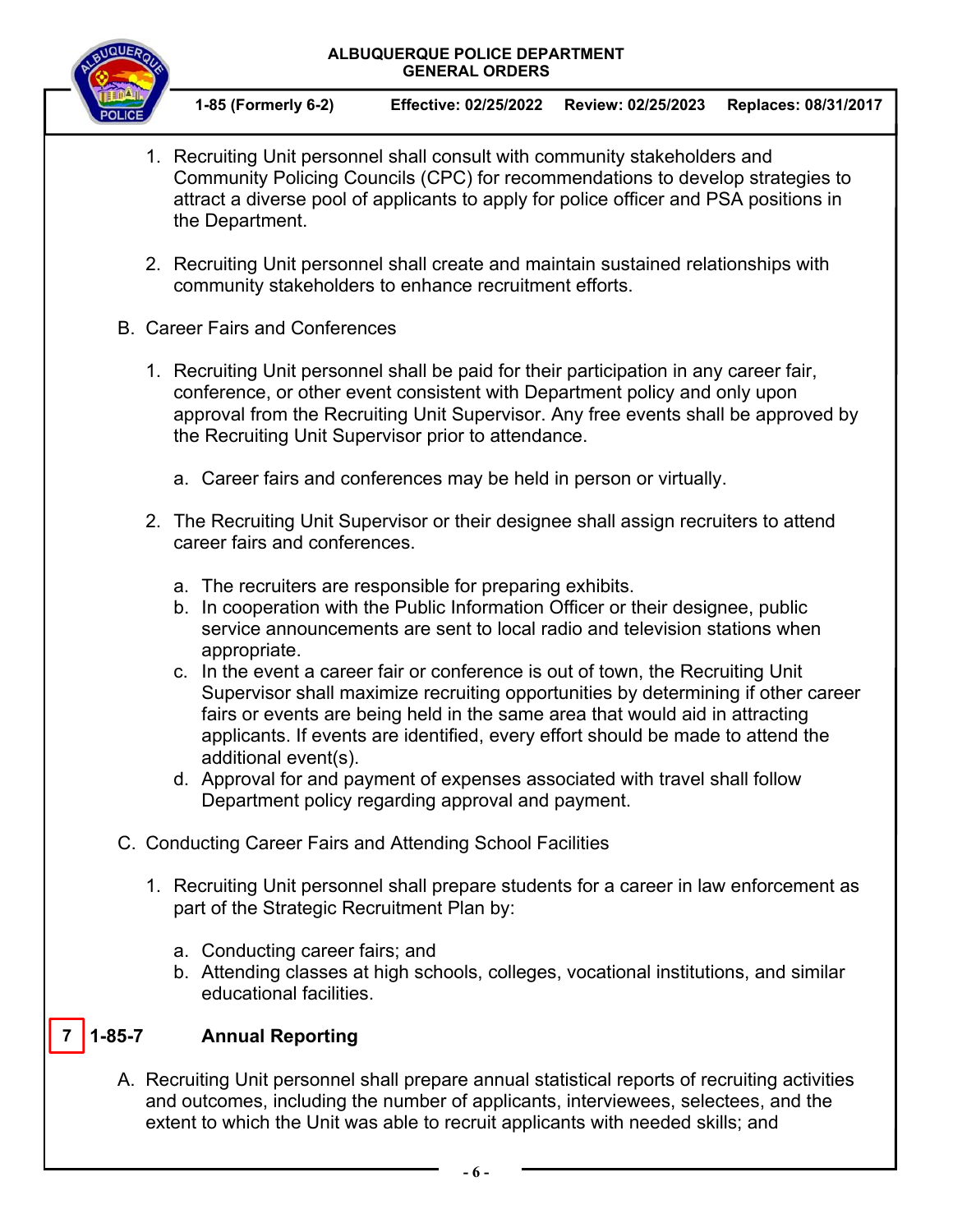

**1-85 (Formerly 6-2) Effective: 02/25/2022 Review: 02/25/2023 Replaces: 08/31/2017**

- 1. Recruiting Unit personnel shall consult with community stakeholders and Community Policing Councils (CPC) for recommendations to develop strategies to attract a diverse pool of applicants to apply for police officer and PSA positions in the Department.
- 2. Recruiting Unit personnel shall create and maintain sustained relationships with community stakeholders to enhance recruitment efforts.
- B. Career Fairs and Conferences
	- 1. Recruiting Unit personnel shall be paid for their participation in any career fair, conference, or other event consistent with Department policy and only upon approval from the Recruiting Unit Supervisor. Any free events shall be approved by the Recruiting Unit Supervisor prior to attendance.
		- a. Career fairs and conferences may be held in person or virtually.
	- 2. The Recruiting Unit Supervisor or their designee shall assign recruiters to attend career fairs and conferences.
		- a. The recruiters are responsible for preparing exhibits.
		- b. In cooperation with the Public Information Officer or their designee, public service announcements are sent to local radio and television stations when appropriate.
		- c. In the event a career fair or conference is out of town, the Recruiting Unit Supervisor shall maximize recruiting opportunities by determining if other career fairs or events are being held in the same area that would aid in attracting applicants. If events are identified, every effort should be made to attend the additional event(s).
		- d. Approval for and payment of expenses associated with travel shall follow Department policy regarding approval and payment.
- C. Conducting Career Fairs and Attending School Facilities
	- 1. Recruiting Unit personnel shall prepare students for a career in law enforcement as part of the Strategic Recruitment Plan by:
		- a. Conducting career fairs; and
		- b. Attending classes at high schools, colleges, vocational institutions, and similar educational facilities.

#### **1-85-7 Annual Reporting 7**

A. Recruiting Unit personnel shall prepare annual statistical reports of recruiting activities and outcomes, including the number of applicants, interviewees, selectees, and the extent to which the Unit was able to recruit applicants with needed skills; and